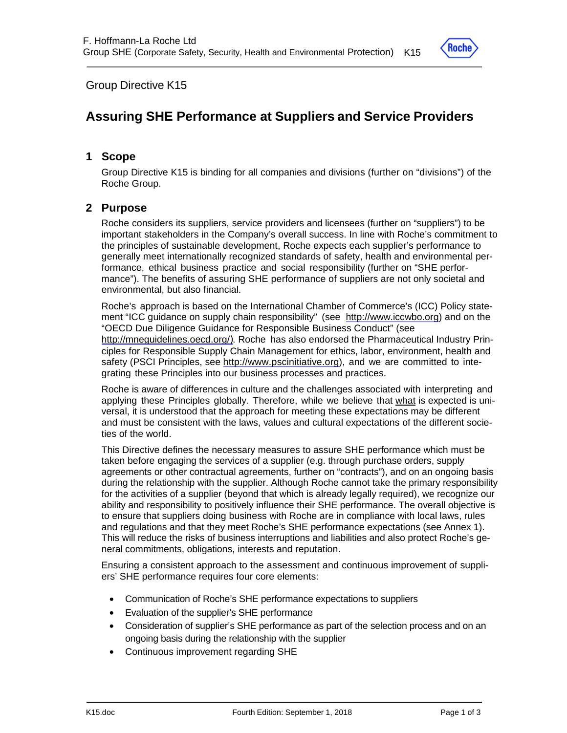

Group Directive K15

# **Assuring SHE Performance at Suppliers and Service Providers**

#### **1 Scope**

Group Directive K15 is binding for all companies and divisions (further on "divisions") of the Roche Group.

### **2 Purpose**

Roche considers its suppliers, service providers and licensees (further on "suppliers") to be important stakeholders in the Company's overall success. In line with Roche's commitment to the principles of sustainable development, Roche expects each supplier's performance to generally meet internationally recognized standards of safety, health and environmental performance, ethical business practice and social responsibility (further on "SHE performance"). The benefits of assuring SHE performance of suppliers are not only societal and environmental, but also financial.

Roche's approach is based on the International Chamber of Commerce's (ICC) Policy statement "ICC guidance on supply chain responsibility" (see http://www.iccwbo.org) and on the "OECD Due Diligence Guidance for Responsible Business Conduct" (see http://mneguidelines.oecd.org/). Roche has also endorsed the Pharmaceutical Industry Principles for Responsible Supply Chain Management for ethics, labor, environment, health and safety (PSCI Principles, see http://www.pscinitiative.org), and we are committed to integrating these Principles into our business processes and practices.

Roche is aware of differences in culture and the challenges associated with interpreting and applying these Principles globally. Therefore, while we believe that what is expected is universal, it is understood that the approach for meeting these expectations may be different and must be consistent with the laws, values and cultural expectations of the different societies of the world.

This Directive defines the necessary measures to assure SHE performance which must be taken before engaging the services of a supplier (e.g. through purchase orders, supply agreements or other contractual agreements, further on "contracts"), and on an ongoing basis during the relationship with the supplier. Although Roche cannot take the primary responsibility for the activities of a supplier (beyond that which is already legally required), we recognize our ability and responsibility to positively influence their SHE performance. The overall objective is to ensure that suppliers doing business with Roche are in compliance with local laws, rules and regulations and that they meet Roche's SHE performance expectations (see Annex 1). This will reduce the risks of business interruptions and liabilities and also protect Roche's general commitments, obligations, interests and reputation.

Ensuring a consistent approach to the assessment and continuous improvement of suppliers' SHE performance requires four core elements:

- Communication of Roche's SHE performance expectations to suppliers
- Evaluation of the supplier's SHE performance
- Consideration of supplier's SHE performance as part of the selection process and on an ongoing basis during the relationship with the supplier
- Continuous improvement regarding SHE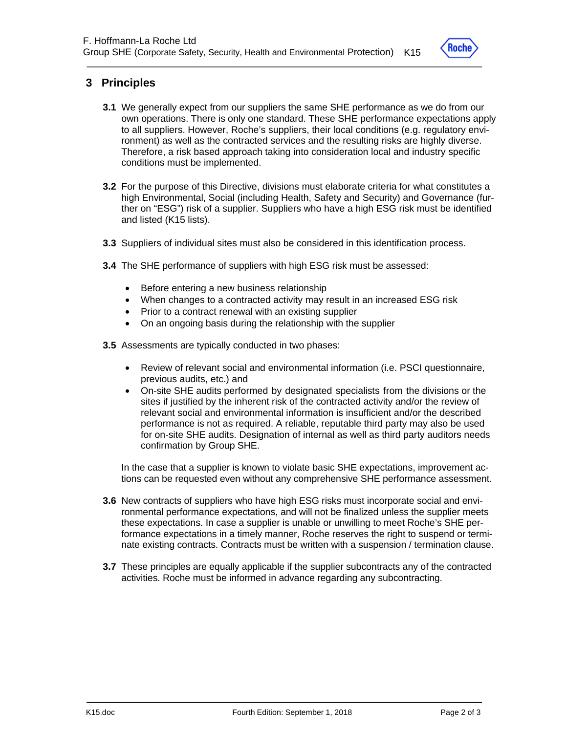

## **3 Principles**

- **3.1** We generally expect from our suppliers the same SHE performance as we do from our own operations. There is only one standard. These SHE performance expectations apply to all suppliers. However, Roche's suppliers, their local conditions (e.g. regulatory environment) as well as the contracted services and the resulting risks are highly diverse. Therefore, a risk based approach taking into consideration local and industry specific conditions must be implemented.
- **3.2** For the purpose of this Directive, divisions must elaborate criteria for what constitutes a high Environmental, Social (including Health, Safety and Security) and Governance (further on "ESG") risk of a supplier. Suppliers who have a high ESG risk must be identified and listed (K15 lists).
- **3.3** Suppliers of individual sites must also be considered in this identification process.
- **3.4** The SHE performance of suppliers with high ESG risk must be assessed:
	- Before entering a new business relationship
	- When changes to a contracted activity may result in an increased ESG risk
	- Prior to a contract renewal with an existing supplier
	- On an ongoing basis during the relationship with the supplier
- **3.5** Assessments are typically conducted in two phases:
	- Review of relevant social and environmental information (i.e. PSCI questionnaire, previous audits, etc.) and
	- On-site SHE audits performed by designated specialists from the divisions or the sites if justified by the inherent risk of the contracted activity and/or the review of relevant social and environmental information is insufficient and/or the described performance is not as required. A reliable, reputable third party may also be used for on-site SHE audits. Designation of internal as well as third party auditors needs confirmation by Group SHE.

In the case that a supplier is known to violate basic SHE expectations, improvement actions can be requested even without any comprehensive SHE performance assessment.

- **3.6** New contracts of suppliers who have high ESG risks must incorporate social and environmental performance expectations, and will not be finalized unless the supplier meets these expectations. In case a supplier is unable or unwilling to meet Roche's SHE performance expectations in a timely manner, Roche reserves the right to suspend or terminate existing contracts. Contracts must be written with a suspension / termination clause.
- **3.7** These principles are equally applicable if the supplier subcontracts any of the contracted activities. Roche must be informed in advance regarding any subcontracting.